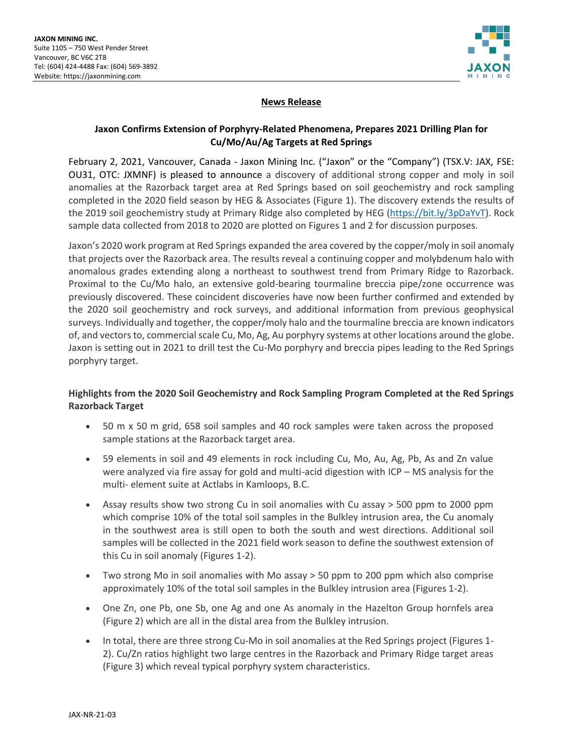

### **News Release**

# **Jaxon Confirms Extension of Porphyry-Related Phenomena, Prepares 2021 Drilling Plan for Cu/Mo/Au/Ag Targets at Red Springs**

February 2, 2021, Vancouver, Canada - Jaxon Mining Inc. ("Jaxon" or the "Company") (TSX.V: JAX, FSE: OU31, OTC: JXMNF) is pleased to announce a discovery of additional strong copper and moly in soil anomalies at the Razorback target area at Red Springs based on soil geochemistry and rock sampling completed in the 2020 field season by HEG & Associates (Figure 1). The discovery extends the results of the 2019 soil geochemistry study at Primary Ridge also completed by HEG [\(https://bit.ly/3pDaYvT\)](https://bit.ly/3pDaYvT). Rock sample data collected from 2018 to 2020 are plotted on Figures 1 and 2 for discussion purposes.

Jaxon's 2020 work program at Red Springs expanded the area covered by the copper/moly in soil anomaly that projects over the Razorback area. The results reveal a continuing copper and molybdenum halo with anomalous grades extending along a northeast to southwest trend from Primary Ridge to Razorback. Proximal to the Cu/Mo halo, an extensive gold-bearing tourmaline breccia pipe/zone occurrence was previously discovered. These coincident discoveries have now been further confirmed and extended by the 2020 soil geochemistry and rock surveys, and additional information from previous geophysical surveys. Individually and together, the copper/moly halo and the tourmaline breccia are known indicators of, and vectors to, commercial scale Cu, Mo, Ag, Au porphyry systems at other locations around the globe. Jaxon is setting out in 2021 to drill test the Cu-Mo porphyry and breccia pipes leading to the Red Springs porphyry target.

## **Highlights from the 2020 Soil Geochemistry and Rock Sampling Program Completed at the Red Springs Razorback Target**

- 50 m x 50 m grid, 658 soil samples and 40 rock samples were taken across the proposed sample stations at the Razorback target area.
- 59 elements in soil and 49 elements in rock including Cu, Mo, Au, Ag, Pb, As and Zn value were analyzed via fire assay for gold and multi-acid digestion with ICP – MS analysis for the multi- element suite at Actlabs in Kamloops, B.C.
- Assay results show two strong Cu in soil anomalies with Cu assay > 500 ppm to 2000 ppm which comprise 10% of the total soil samples in the Bulkley intrusion area, the Cu anomaly in the southwest area is still open to both the south and west directions. Additional soil samples will be collected in the 2021 field work season to define the southwest extension of this Cu in soil anomaly (Figures 1-2).
- Two strong Mo in soil anomalies with Mo assay > 50 ppm to 200 ppm which also comprise approximately 10% of the total soil samples in the Bulkley intrusion area (Figures 1-2).
- One Zn, one Pb, one Sb, one Ag and one As anomaly in the Hazelton Group hornfels area (Figure 2) which are all in the distal area from the Bulkley intrusion.
- In total, there are three strong Cu-Mo in soil anomalies at the Red Springs project (Figures 1- 2). Cu/Zn ratios highlight two large centres in the Razorback and Primary Ridge target areas (Figure 3) which reveal typical porphyry system characteristics.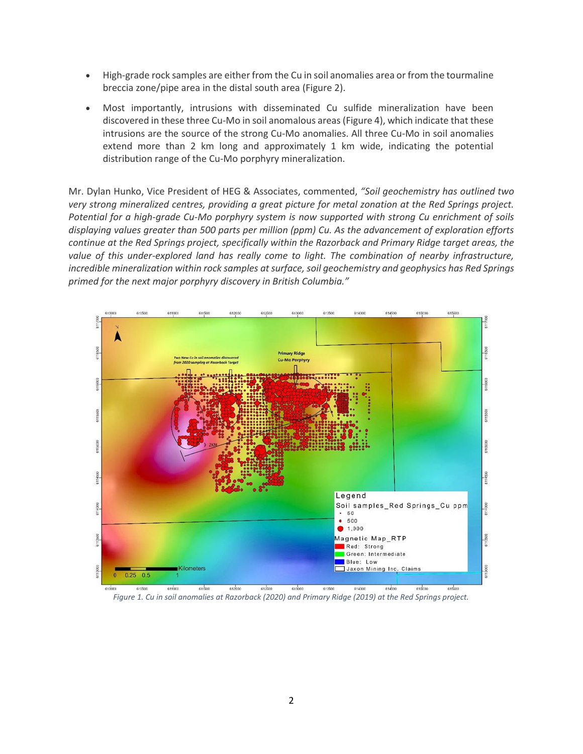- High-grade rock samples are either from the Cu in soil anomalies area or from the tourmaline breccia zone/pipe area in the distal south area (Figure 2).
- Most importantly, intrusions with disseminated Cu sulfide mineralization have been discovered in these three Cu-Mo in soil anomalous areas (Figure 4), which indicate that these intrusions are the source of the strong Cu-Mo anomalies. All three Cu-Mo in soil anomalies extend more than 2 km long and approximately 1 km wide, indicating the potential distribution range of the Cu-Mo porphyry mineralization.

Mr. Dylan Hunko, Vice President of HEG & Associates, commented, *"Soil geochemistry has outlined two very strong mineralized centres, providing a great picture for metal zonation at the Red Springs project. Potential for a high-grade Cu-Mo porphyry system is now supported with strong Cu enrichment of soils displaying values greater than 500 parts per million (ppm) Cu. As the advancement of exploration efforts continue at the Red Springs project, specifically within the Razorback and Primary Ridge target areas, the value of this under-explored land has really come to light. The combination of nearby infrastructure, incredible mineralization within rock samples at surface, soil geochemistry and geophysics has Red Springs primed for the next major porphyry discovery in British Columbia."*



*Figure 1. Cu in soil anomalies at Razorback (2020) and Primary Ridge (2019) at the Red Springs project.*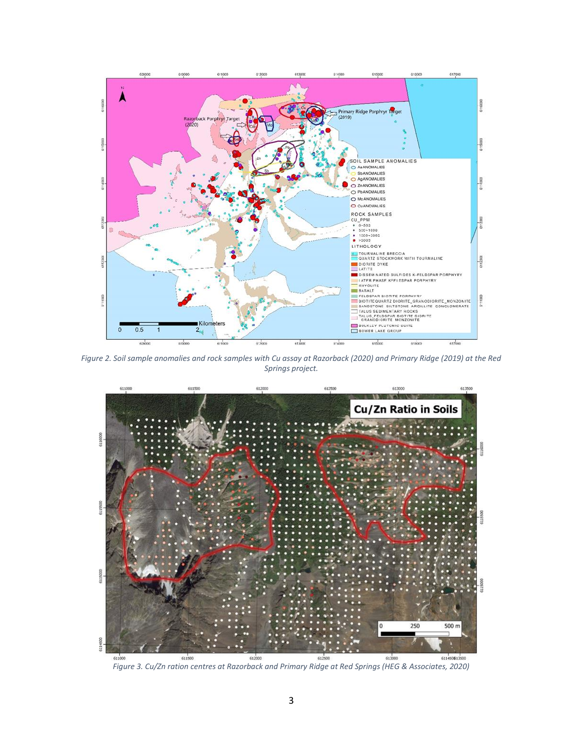

*Figure 2. Soil sample anomalies and rock samples with Cu assay at Razorback (2020) and Primary Ridge (2019) at the Red Springs project.*



*Figure 3. Cu/Zn ration centres at Razorback and Primary Ridge at Red Springs (HEG & Associates, 2020)*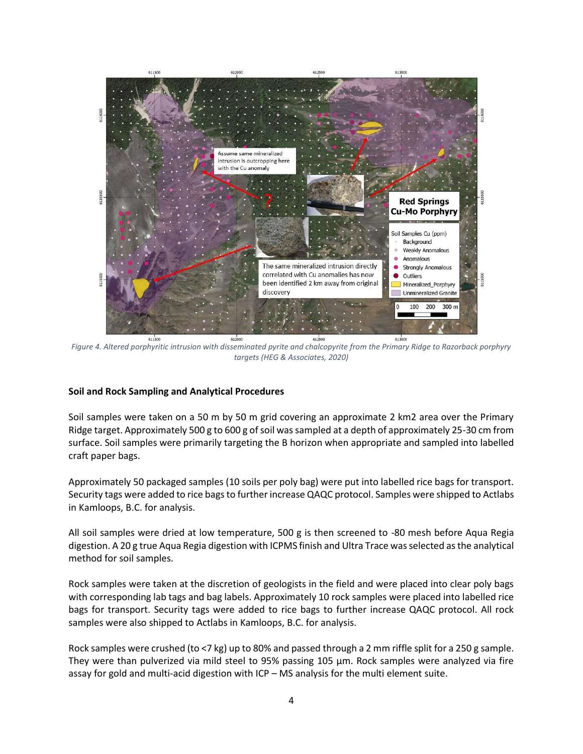

*Figure 4. Altered porphyritic intrusion with disseminated pyrite and chalcopyrite from the Primary Ridge to Razorback porphyry targets (HEG & Associates, 2020)*

#### **Soil and Rock Sampling and Analytical Procedures**

Soil samples were taken on a 50 m by 50 m grid covering an approximate 2 km2 area over the Primary Ridge target. Approximately 500 g to 600 g of soil was sampled at a depth of approximately 25-30 cm from surface. Soil samples were primarily targeting the B horizon when appropriate and sampled into labelled craft paper bags.

Approximately 50 packaged samples (10 soils per poly bag) were put into labelled rice bags for transport. Security tags were added to rice bags to further increase QAQC protocol. Samples were shipped to Actlabs in Kamloops, B.C. for analysis.

All soil samples were dried at low temperature, 500 g is then screened to -80 mesh before Aqua Regia digestion. A 20 g true Aqua Regia digestion with ICPMS finish and Ultra Trace was selected as the analytical method for soil samples.

Rock samples were taken at the discretion of geologists in the field and were placed into clear poly bags with corresponding lab tags and bag labels. Approximately 10 rock samples were placed into labelled rice bags for transport. Security tags were added to rice bags to further increase QAQC protocol. All rock samples were also shipped to Actlabs in Kamloops, B.C. for analysis.

Rock samples were crushed (to <7 kg) up to 80% and passed through a 2 mm riffle split for a 250 g sample. They were than pulverized via mild steel to 95% passing 105 µm. Rock samples were analyzed via fire assay for gold and multi-acid digestion with ICP – MS analysis for the multi element suite.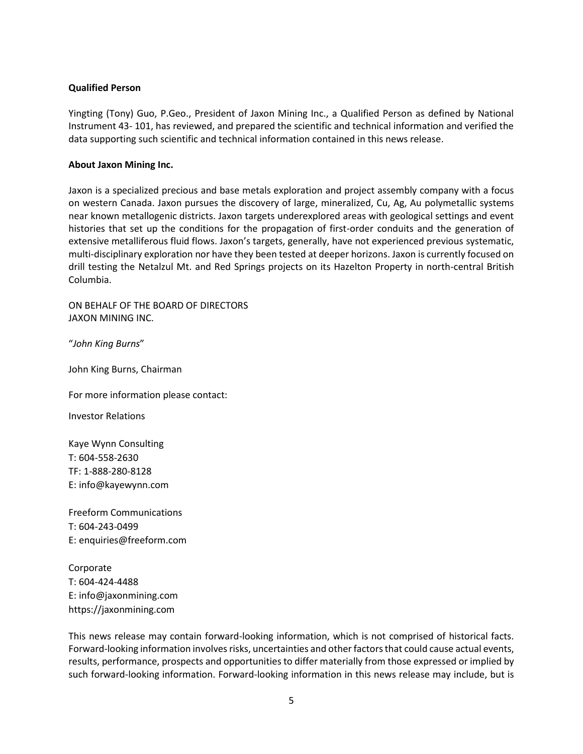### **Qualified Person**

Yingting (Tony) Guo, P.Geo., President of Jaxon Mining Inc., a Qualified Person as defined by National Instrument 43- 101, has reviewed, and prepared the scientific and technical information and verified the data supporting such scientific and technical information contained in this news release.

#### **About Jaxon Mining Inc.**

Jaxon is a specialized precious and base metals exploration and project assembly company with a focus on western Canada. Jaxon pursues the discovery of large, mineralized, Cu, Ag, Au polymetallic systems near known metallogenic districts. Jaxon targets underexplored areas with geological settings and event histories that set up the conditions for the propagation of first-order conduits and the generation of extensive metalliferous fluid flows. Jaxon's targets, generally, have not experienced previous systematic, multi-disciplinary exploration nor have they been tested at deeper horizons. Jaxon is currently focused on drill testing the Netalzul Mt. and Red Springs projects on its Hazelton Property in north-central British Columbia.

ON BEHALF OF THE BOARD OF DIRECTORS JAXON MINING INC.

"*John King Burns*"

John King Burns, Chairman

For more information please contact:

Investor Relations

Kaye Wynn Consulting T: 604-558-2630 TF: 1-888-280-8128 E: info@kayewynn.com

Freeform Communications T: 604-243-0499 E: enquiries@freeform.com

Corporate T: 604-424-4488 E: info@jaxonmining.com https://jaxonmining.com

This news release may contain forward-looking information, which is not comprised of historical facts. Forward-looking information involves risks, uncertainties and other factors that could cause actual events, results, performance, prospects and opportunities to differ materially from those expressed or implied by such forward-looking information. Forward-looking information in this news release may include, but is